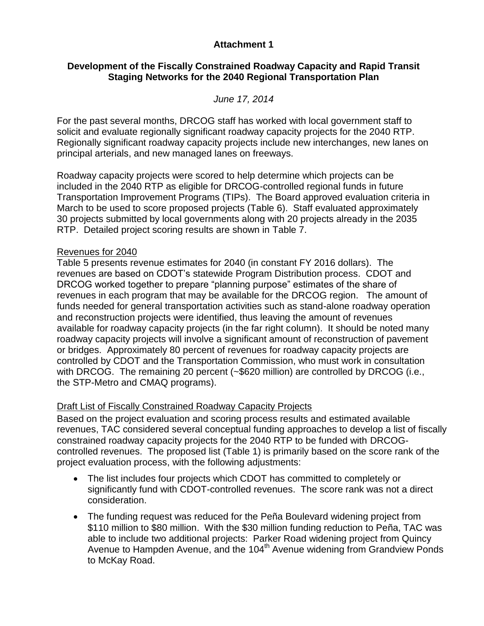## **Attachment 1**

## **Development of the Fiscally Constrained Roadway Capacity and Rapid Transit Staging Networks for the 2040 Regional Transportation Plan**

## *June 17, 2014*

For the past several months, DRCOG staff has worked with local government staff to solicit and evaluate regionally significant roadway capacity projects for the 2040 RTP. Regionally significant roadway capacity projects include new interchanges, new lanes on principal arterials, and new managed lanes on freeways.

Roadway capacity projects were scored to help determine which projects can be included in the 2040 RTP as eligible for DRCOG-controlled regional funds in future Transportation Improvement Programs (TIPs). The Board approved evaluation criteria in March to be used to score proposed projects (Table 6). Staff evaluated approximately 30 projects submitted by local governments along with 20 projects already in the 2035 RTP. Detailed project scoring results are shown in Table 7.

#### Revenues for 2040

Table 5 presents revenue estimates for 2040 (in constant FY 2016 dollars). The revenues are based on CDOT's statewide Program Distribution process. CDOT and DRCOG worked together to prepare "planning purpose" estimates of the share of revenues in each program that may be available for the DRCOG region. The amount of funds needed for general transportation activities such as stand-alone roadway operation and reconstruction projects were identified, thus leaving the amount of revenues available for roadway capacity projects (in the far right column). It should be noted many roadway capacity projects will involve a significant amount of reconstruction of pavement or bridges. Approximately 80 percent of revenues for roadway capacity projects are controlled by CDOT and the Transportation Commission, who must work in consultation with DRCOG. The remaining 20 percent (~\$620 million) are controlled by DRCOG (i.e., the STP-Metro and CMAQ programs).

### Draft List of Fiscally Constrained Roadway Capacity Projects

Based on the project evaluation and scoring process results and estimated available revenues, TAC considered several conceptual funding approaches to develop a list of fiscally constrained roadway capacity projects for the 2040 RTP to be funded with DRCOGcontrolled revenues. The proposed list (Table 1) is primarily based on the score rank of the project evaluation process, with the following adjustments:

- The list includes four projects which CDOT has committed to completely or significantly fund with CDOT-controlled revenues. The score rank was not a direct consideration.
- The funding request was reduced for the Peña Boulevard widening project from \$110 million to \$80 million. With the \$30 million funding reduction to Peña, TAC was able to include two additional projects: Parker Road widening project from Quincy Avenue to Hampden Avenue, and the 104<sup>th</sup> Avenue widening from Grandview Ponds to McKay Road.